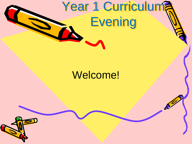# Year 1 Curriculum? **Evening**

 $\mathcal{L}^2$ 

#### Welcome!

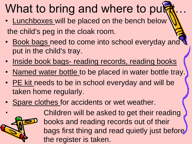## What to bring and where to put

- Lunchboxes will be placed on the bench below the child's peg in the cloak room.
- Book bags need to come into school everyday and put in the child's tray.
- Inside book bags- reading records, reading books
- Named water bottle to be placed in water bottle tray.
- PE kit needs to be in school everyday and will be taken home regularly.
- Spare clothes for accidents or wet weather.



Children will be asked to get their reading books and reading records out of their bags first thing and read quietly just before the register is taken.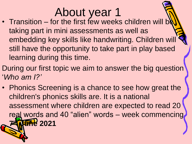### About year 1

- Transition for the first few weeks children will be taking part in mini assessments as well as embedding key skills like handwriting. Children will still have the opportunity to take part in play based learning during this time.
- During our first topic we aim to answer the big question '*Who am I?'*
- Phonics Screening is a chance to see how great the children's phonics skills are. It is a national assessment where children are expected to read 20 real words and 40 "alien" words – week commencing **7**  $\sqrt{\frac{1}{2}}$  2021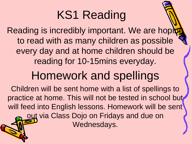## KS1 Reading

Reading is incredibly important. We are hopi to read with as many children as possible every day and at home children should be reading for 10-15mins everyday.

#### Homework and spellings

Children will be sent home with a list of spellings to practice at home. This will not be tested in school but will feed into English lessons. Homework will be sent out via Class Dojo on Fridays and due on Wednesdays.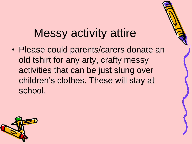#### Messy activity attire

• Please could parents/carers donate an old tshirt for any arty, crafty messy activities that can be just slung over children's clothes. These will stay at school.